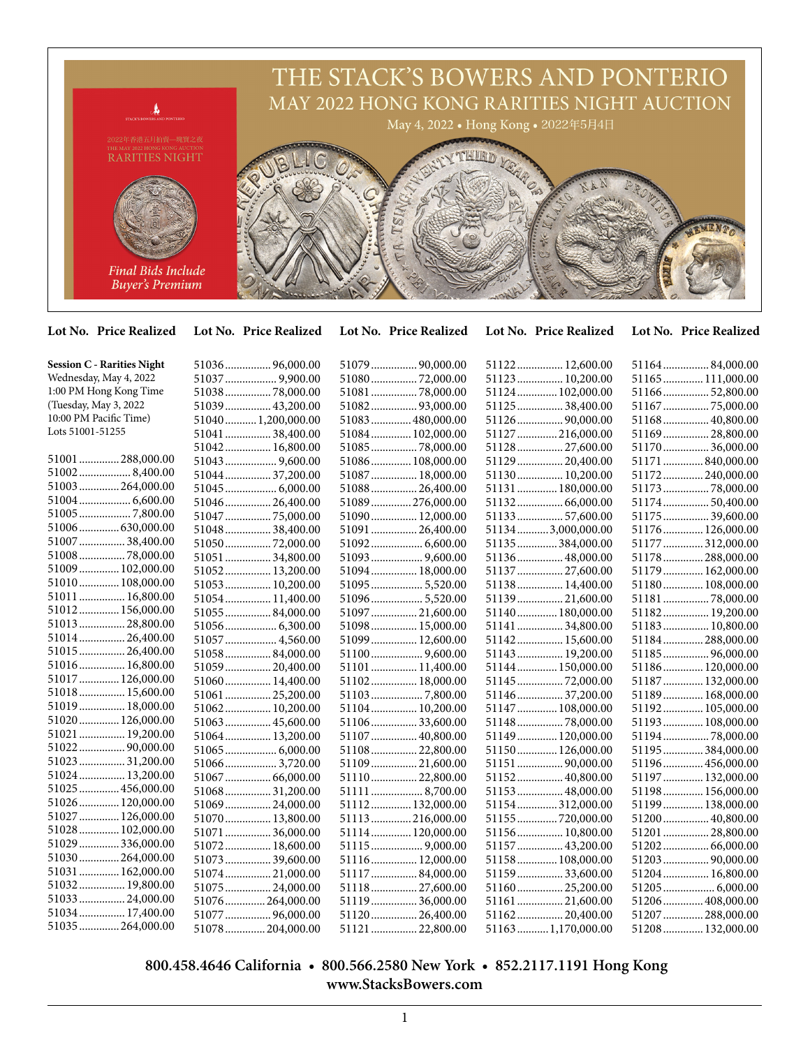

**Lot No. Price Realized Lot No. Price Realized Lot No. Price Realized Lot No. Price Realized Lot No. Price Realized**

| <b>Session C - Rarities Night</b> | 51036 96,000.00   | 51079  90,000.00  | 51122 12,600.00    | 5116484,000.00    |
|-----------------------------------|-------------------|-------------------|--------------------|-------------------|
| Wednesday, May 4, 2022            | 51037  9,900.00   | 5108072,000.00    | 51123  10,200.00   | 51165 111,000.00  |
| 1:00 PM Hong Kong Time            | 5103878,000.00    | 51081  78,000.00  | 51124  102,000.00  | 5116652,800.00    |
| (Tuesday, May 3, 2022)            | 51039 43,200.00   |                   | 51125  38,400.00   |                   |
| 10:00 PM Pacific Time)            | 510401,200,000.00 | 51083  480,000.00 | 51126 90,000.00    | 51168 40,800.00   |
| Lots 51001-51255                  | 51041  38,400.00  | 51084 102,000.00  | 51127  216,000.00  | 5116928,800.00    |
|                                   | 51042 16,800.00   | 5108578,000.00    | 51128  27,600.00   | 5117036,000.00    |
| 51001288,000.00                   |                   | 51086 108,000.00  | 51129  20,400.00   | 51171 840,000.00  |
| $51002$ 8,400.00                  | 51044 37,200.00   | 51087  18,000.00  | 51130 10,200.00    | 51172240,000.00   |
| 51003  264,000.00                 | 51045 6,000.00    | 51088 26,400.00   | 51131  180,000.00  | 5117378,000.00    |
| $51004$ 6,600.00                  | 51046 26,400.00   | 51089276,000.00   | 5113266,000.00     | 5117450,400.00    |
|                                   | 51047  75,000.00  | 51090 12,000.00   | 5113357,600.00     | 51175  39,600.00  |
| 51006630,000.00                   | 51048 38,400.00   | 51091  26,400.00  | 511343,000,000.00  | 51176  126,000.00 |
| 51007  38,400.00                  | 5105072,000.00    |                   | 51135384,000.00    | 51177  312,000.00 |
| 51008 78,000.00                   | 51051  34,800.00  | 51093  9,600.00   | 51136 48,000.00    | 51178  288,000.00 |
| 51009  102,000.00                 | 51052 13,200.00   | 51094 18,000.00   | 51137  27,600.00   | 51179  162,000.00 |
| 51010 108,000.00                  | 51053 10,200.00   | 510955,520.00     | 51138 14,400.00    | 51180 108,000.00  |
| 51011  16,800.00                  | 51054 11,400.00   | 51096 5,520.00    | 51139 21,600.00    | 5118178,000.00    |
| 51012 156,000.00                  | 5105584,000.00    | 51097  21,600.00  | 51140  180,000.00  | 51182 19,200.00   |
| 51013  28,800.00                  |                   | 51098 15,000.00   | 51141  34,800.00   | 51183 10,800.00   |
| 51014 26,400.00                   | 51057  4,560.00   | 51099 12,600.00   | 51142 15,600.00    | 51184  288,000.00 |
| 51015  26,400.00                  | 5105884,000.00    |                   | 51143  19,200.00   | 5118596,000.00    |
| 51016 16,800.00                   | 51059 20,400.00   | 51101  11,400.00  | 51144  150,000.00  | 51186 120,000.00  |
| 51017  126,000.00                 | 51060 14,400.00   | 51102 18,000.00   | 51145 72,000.00    | 51187  132,000.00 |
| 51018 15,600.00                   | 51061  25,200.00  | 51103 7,800.00    | 51146  37,200.00   | 51189  168,000.00 |
| 51019  18,000.00                  | 51062 10,200.00   | 51104 10,200.00   | 51147  108,000.00  | 51192 105,000.00  |
| 51020 126,000.00                  | 51063 45,600.00   | 5110633,600.00    | 5114878,000.00     | 51193  108,000.00 |
| 51021  19,200.00                  | 51064 13,200.00   | 51107  40,800.00  | 51149  120,000.00  | 51194 78,000.00   |
| 51022 90,000.00                   | $51065$ 6,000.00  | 51108 22,800.00   | 51150 126,000.00   | 51195  384,000.00 |
| 51023  31,200.00                  | 51066 3,720.00    | 51109 21,600.00   | 51151  90,000.00   | 51196  456,000.00 |
| 51024 13,200.00                   | 51067  66,000.00  | 51110 22,800.00   | 51152 40,800.00    | 51197  132,000.00 |
| 51025  456,000.00                 | 51068 31,200.00   | 51111  8,700.00   | 51153 48,000.00    | 51198 156,000.00  |
| 51026 120,000.00                  | 51069 24,000.00   | 51112 132,000.00  | 51154312,000.00    | 51199  138,000.00 |
| 51027  126,000.00                 | 51070 13,800.00   | 51113216,000.00   | 51155 720,000.00   | 51200  40,800.00  |
| 51028  102,000.00                 | 51071  36,000.00  | 51114 120,000.00  | 51156 10,800.00    | 51201  28,800.00  |
| 51029  336,000.00                 | 51072 18,600.00   |                   | 51157  43,200.00   |                   |
| 51030 264,000.00                  | 51073 39,600.00   | 51116 12,000.00   | 51158 108,000.00   | 51203  90,000.00  |
| 51031  162,000.00                 | 51074 21,000.00   | 51117 84,000.00   | 51159  33,600.00   | 51204 16,800.00   |
| 51032 19,800.00                   | 51075 24,000.00   | 51118  27,600.00  | 51160 25,200.00    | 51205  6,000.00   |
| 51033 24,000.00                   | 51076264,000.00   | 5111936,000.00    | 5116121,600.00     | 51206  408,000.00 |
| 51034 17,400.00                   | 51077  96,000.00  | 51120 26,400.00   | 5116220,400.00     | 51207  288,000.00 |
| 51035  264,000.00                 | 51078204,000.00   | 51121  22,800.00  | 51163 1,170,000.00 | 51208 132,000.00  |

## **800.458.4646 California • 800.566.2580 New York • 852.2117.1191 Hong Kong www.StacksBowers.com**